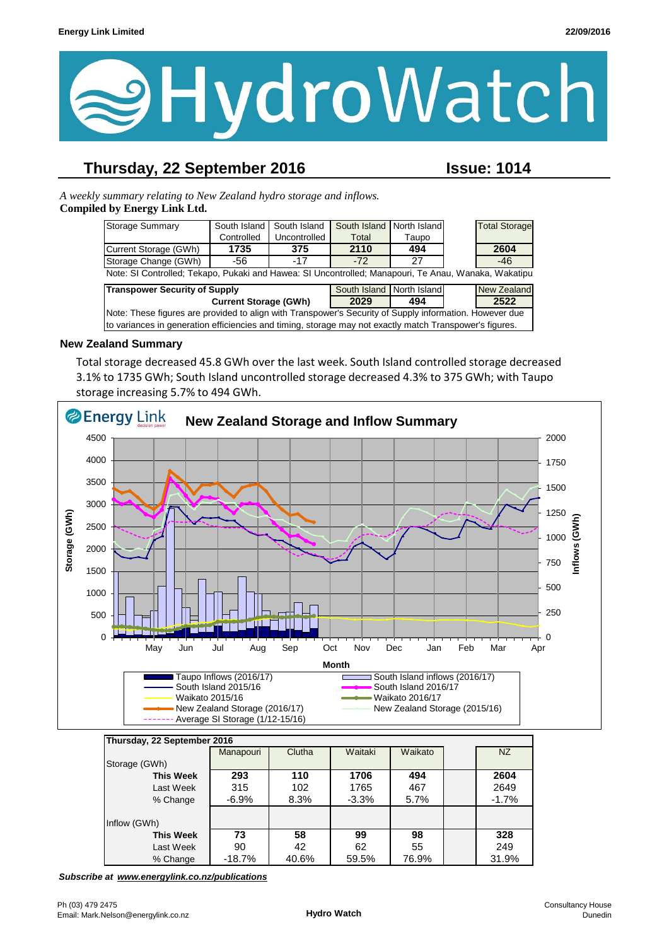

## **Thursday, 22 September 2016 Issue: 1014**

*A weekly summary relating to New Zealand hydro storage and inflows.*  **Compiled by Energy Link Ltd.**

| Storage Summary                                                                                         | South Island | South Island | South Island | North Island |                    | <b>Total Storage</b> |  |
|---------------------------------------------------------------------------------------------------------|--------------|--------------|--------------|--------------|--------------------|----------------------|--|
|                                                                                                         | Controlled   | Uncontrolled | Total        | Taupo        |                    |                      |  |
| Current Storage (GWh)                                                                                   | 1735         | 375          | 2110         | 494          |                    | 2604                 |  |
| Storage Change (GWh)                                                                                    | -56          | $-17$        | $-72$        | 27           |                    | $-46$                |  |
| Note: SI Controlled; Tekapo, Pukaki and Hawea: SI Uncontrolled; Manapouri, Te Anau, Wanaka, Wakatipu    |              |              |              |              |                    |                      |  |
| <b>Transpower Security of Supply</b><br>South Island North Island                                       |              |              |              |              | <b>New Zealand</b> |                      |  |
| <b>Current Storage (GWh)</b>                                                                            |              | 2029         | 494          |              | 2522               |                      |  |
| Note: These figures are provided to align with Transpower's Security of Supply information. However due |              |              |              |              |                    |                      |  |
| to variances in generation efficiencies and timing, storage may not exactly match Transpower's figures. |              |              |              |              |                    |                      |  |

#### **New Zealand Summary**

Total storage decreased 45.8 GWh over the last week. South Island controlled storage decreased 3.1% to 1735 GWh; South Island uncontrolled storage decreased 4.3% to 375 GWh; with Taupo storage increasing 5.7% to 494 GWh.



| Thursday, 22 September 2016 |           |        |         |         |  |         |
|-----------------------------|-----------|--------|---------|---------|--|---------|
|                             | Manapouri | Clutha | Waitaki | Waikato |  | NZ      |
| Storage (GWh)               |           |        |         |         |  |         |
| <b>This Week</b>            | 293       | 110    | 1706    | 494     |  | 2604    |
| Last Week                   | 315       | 102    | 1765    | 467     |  | 2649    |
| % Change                    | $-6.9\%$  | 8.3%   | $-3.3%$ | 5.7%    |  | $-1.7%$ |
|                             |           |        |         |         |  |         |
| Inflow (GWh)                |           |        |         |         |  |         |
| <b>This Week</b>            | 73        | 58     | 99      | 98      |  | 328     |
| Last Week                   | 90        | 42     | 62      | 55      |  | 249     |
| % Change                    | $-18.7%$  | 40.6%  | 59.5%   | 76.9%   |  | 31.9%   |

*Subscribe at www.energylink.co.nz/publications*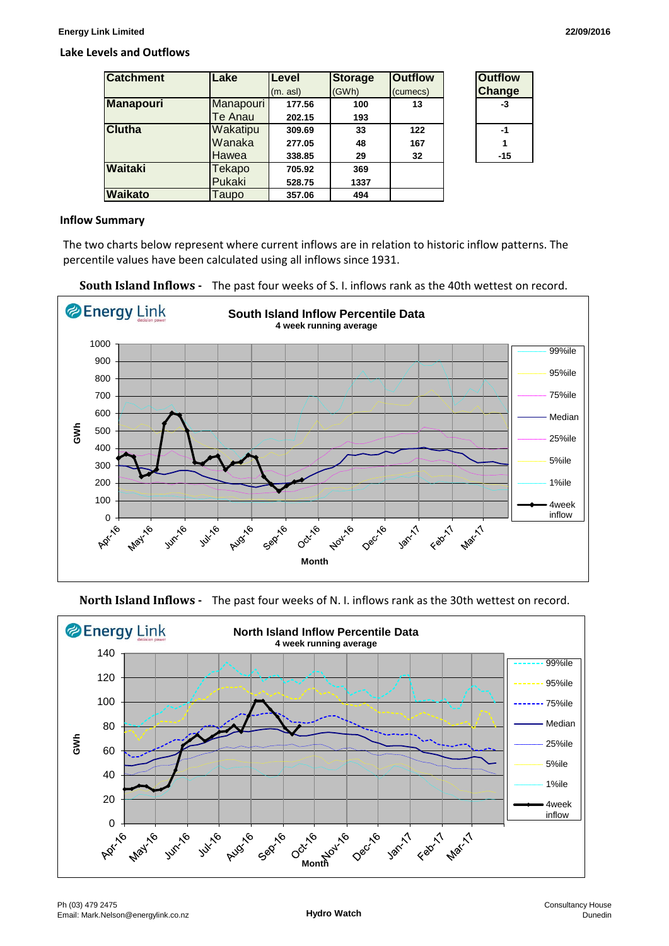#### **Lake Levels and Outflows**

| <b>Catchment</b> | Lake      | <b>Level</b> | <b>Storage</b> | <b>Outflow</b> | <b>Outflow</b> |
|------------------|-----------|--------------|----------------|----------------|----------------|
|                  |           | (m. asl)     | (GWh)          | (cumecs)       | <b>Change</b>  |
| <b>Manapouri</b> | Manapouri | 177.56       | 100            | 13             | -3             |
|                  | Te Anau   | 202.15       | 193            |                |                |
| <b>Clutha</b>    | Wakatipu  | 309.69       | 33             | 122            | $-1$           |
|                  | Wanaka    | 277.05       | 48             | 167            |                |
|                  | Hawea     | 338.85       | 29             | 32             | $-15$          |
| Waitaki          | Tekapo    | 705.92       | 369            |                |                |
|                  | Pukaki    | 528.75       | 1337           |                |                |
| <b>Waikato</b>   | Taupo     | 357.06       | 494            |                |                |

| <b>Outflow</b> |  |  |  |  |
|----------------|--|--|--|--|
| Change         |  |  |  |  |
| -3             |  |  |  |  |
|                |  |  |  |  |
| -1             |  |  |  |  |
| 1              |  |  |  |  |
| -15            |  |  |  |  |
|                |  |  |  |  |

#### **Inflow Summary**

The two charts below represent where current inflows are in relation to historic inflow patterns. The percentile values have been calculated using all inflows since 1931.





**North Island Inflows -** The past four weeks of N. I. inflows rank as the 30th wettest on record.

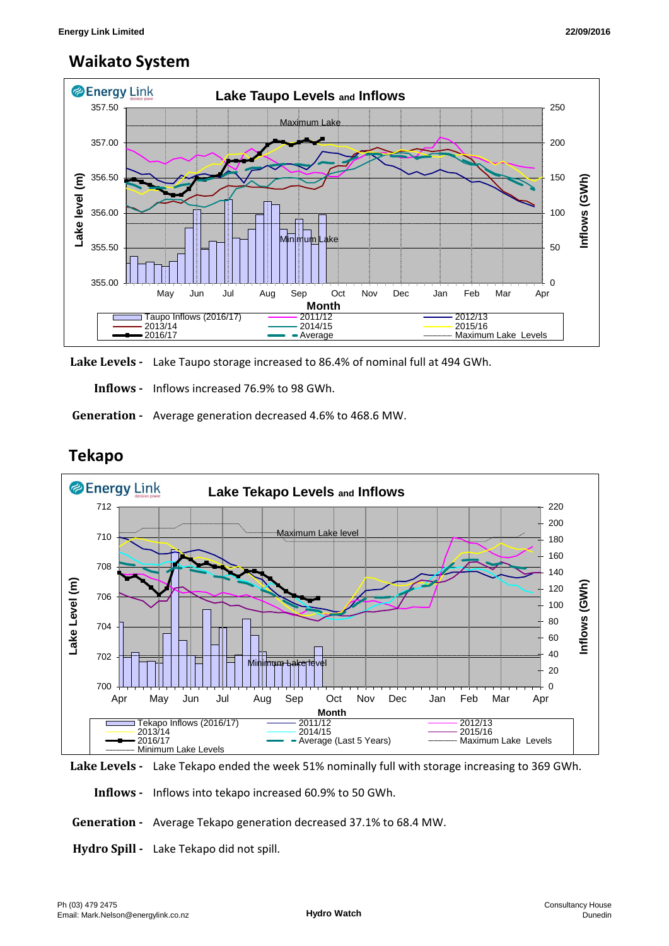## **Waikato System**



**Lake Levels -** Lake Taupo storage increased to 86.4% of nominal full at 494 GWh.

 **Inflows -** Inflows increased 76.9% to 98 GWh.

 **Generation -** Average generation decreased 4.6% to 468.6 MW.



## **Tekapo**

**Lake Levels -** Lake Tekapo ended the week 51% nominally full with storage increasing to 369 GWh.

 **Inflows -** Inflows into tekapo increased 60.9% to 50 GWh.

 **Generation -** Average Tekapo generation decreased 37.1% to 68.4 MW.

**Hydro Spill -** Lake Tekapo did not spill.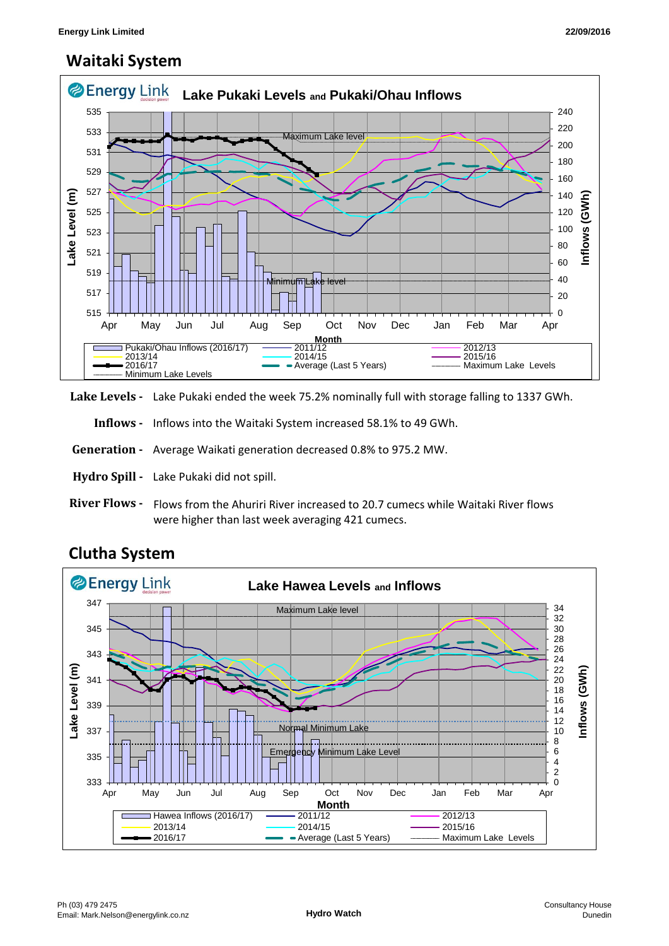## **Waitaki System**



**Lake Levels -** Lake Pukaki ended the week 75.2% nominally full with storage falling to 1337 GWh.

 **Inflows -** Inflows into the Waitaki System increased 58.1% to 49 GWh.

 **Generation -** Average Waikati generation decreased 0.8% to 975.2 MW.

**Hydro Spill -** Lake Pukaki did not spill.

**River Flows -**  Flows from the Ahuriri River increased to 20.7 cumecs while Waitaki River flows were higher than last week averaging 421 cumecs.



# **Clutha System**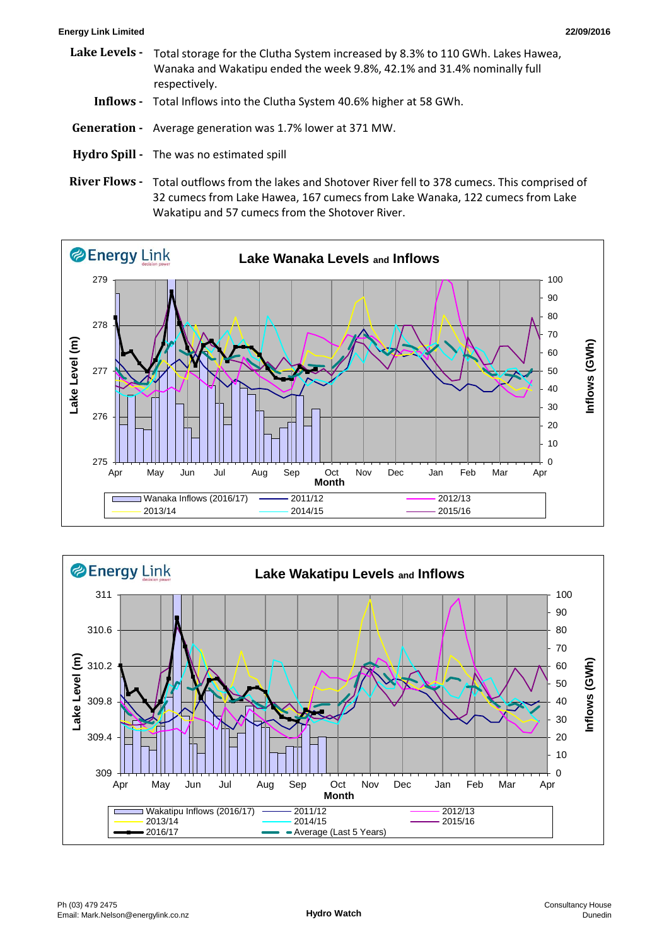#### **Energy Link Limited 22/09/2016**

- **Lake Levels Inflows -** Total Inflows into the Clutha System 40.6% higher at 58 GWh.  **Generation -** Average generation was 1.7% lower at 371 MW. Total storage for the Clutha System increased by 8.3% to 110 GWh. Lakes Hawea, Wanaka and Wakatipu ended the week 9.8%, 42.1% and 31.4% nominally full respectively.
- **Hydro Spill** The was no estimated spill
- River Flows Total outflows from the lakes and Shotover River fell to 378 cumecs. This comprised of 32 cumecs from Lake Hawea, 167 cumecs from Lake Wanaka, 122 cumecs from Lake Wakatipu and 57 cumecs from the Shotover River.